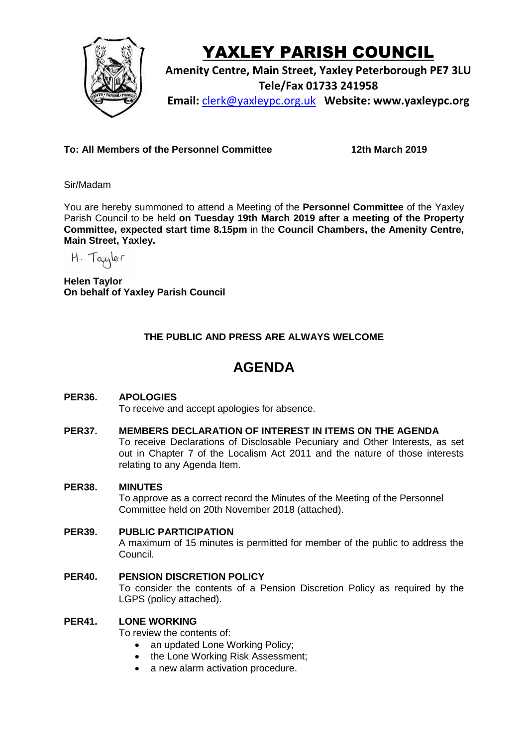

# YAXLEY PARISH COUNCIL

**Amenity Centre, Main Street, Yaxley Peterborough PE7 3LU Tele/Fax 01733 241958 Email:** [clerk@yaxleypc.org.uk](mailto:clerk@yaxleypc.org.uk) **Website: www.yaxleypc.org**

**To: All Members of the Personnel Committee 12th March 2019**

Sir/Madam

You are hereby summoned to attend a Meeting of the **Personnel Committee** of the Yaxley Parish Council to be held **on Tuesday 19th March 2019 after a meeting of the Property Committee, expected start time 8.15pm** in the **Council Chambers, the Amenity Centre, Main Street, Yaxley.**

H. Taylor

**Helen Taylor On behalf of Yaxley Parish Council**

## **THE PUBLIC AND PRESS ARE ALWAYS WELCOME**

# **AGENDA**

### **PER36. APOLOGIES**

To receive and accept apologies for absence.

#### **PER37. MEMBERS DECLARATION OF INTEREST IN ITEMS ON THE AGENDA**

To receive Declarations of Disclosable Pecuniary and Other Interests, as set out in Chapter 7 of the Localism Act 2011 and the nature of those interests relating to any Agenda Item.

#### **PER38. MINUTES**

To approve as a correct record the Minutes of the Meeting of the Personnel Committee held on 20th November 2018 (attached).

#### **PER39. PUBLIC PARTICIPATION**

A maximum of 15 minutes is permitted for member of the public to address the Council.

**PER40. PENSION DISCRETION POLICY** To consider the contents of a Pension Discretion Policy as required by the LGPS (policy attached).

#### **PER41. LONE WORKING**

To review the contents of:

- an updated Lone Working Policy;
- the Lone Working Risk Assessment:
- a new alarm activation procedure.